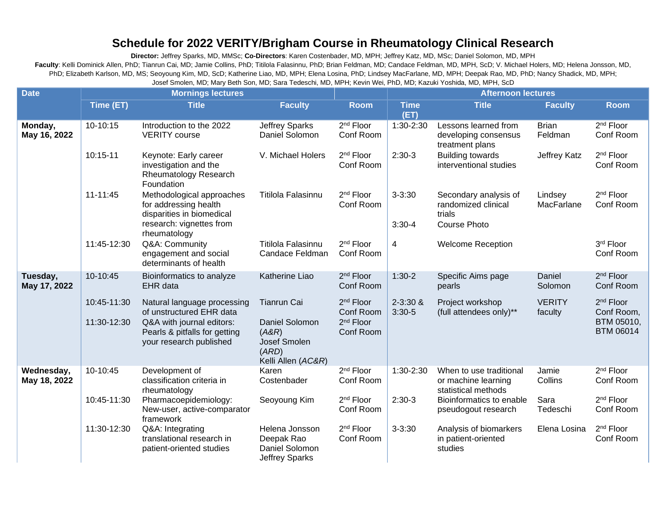## **Schedule for 2022 VERITY/Brigham Course in Rheumatology Clinical Research**

**Director:** Jeffrey Sparks, MD, MMSc; **Co-Directors**: Karen Costenbader, MD, MPH; Jeffrey Katz, MD, MSc; Daniel Solomon, MD, MPH Faculty: Kelli Dominick Allen, PhD; Tianrun Cai, MD; Jamie Collins, PhD; Titilola Falasinnu, PhD; Brian Feldman, MD; Candace Feldman, MD, MPH, ScD; V. Michael Holers, MD; Helena Jonsson, MD, PhD; Elizabeth Karlson, MD, MS; Seoyoung Kim, MD, ScD; Katherine Liao, MD, MPH; Elena Losina, PhD; Lindsey MacFarlane, MD, MPH; Deepak Rao, MD, PhD; Nancy Shadick, MD, MPH; Josef Smolen, MD; Mary Beth Son, MD; Sara Tedeschi, MD, MPH; Kevin Wei, PhD, MD; Kazuki Yoshida, MD, MPH, ScD

| <b>Date</b>                | <b>Mornings lectures</b> |                                                                                                                             |                                                                        |                                    |                          | <b>Afternoon lectures</b>                                                     |                          |                                     |  |
|----------------------------|--------------------------|-----------------------------------------------------------------------------------------------------------------------------|------------------------------------------------------------------------|------------------------------------|--------------------------|-------------------------------------------------------------------------------|--------------------------|-------------------------------------|--|
|                            | Time (ET)                | <b>Title</b>                                                                                                                | <b>Faculty</b>                                                         | <b>Room</b>                        | <b>Time</b><br>(ET)      | <b>Title</b>                                                                  | <b>Faculty</b>           | <b>Room</b>                         |  |
| Monday,<br>May 16, 2022    | 10-10:15                 | Introduction to the 2022<br><b>VERITY</b> course                                                                            | <b>Jeffrey Sparks</b><br>Daniel Solomon                                | 2 <sup>nd</sup> Floor<br>Conf Room | 1:30-2:30                | Lessons learned from<br>developing consensus<br>treatment plans               | <b>Brian</b><br>Feldman  | 2 <sup>nd</sup> Floor<br>Conf Room  |  |
|                            | 10:15-11                 | Keynote: Early career<br>investigation and the<br>Rheumatology Research<br>Foundation                                       | V. Michael Holers                                                      | 2 <sup>nd</sup> Floor<br>Conf Room | $2:30-3$                 | <b>Building towards</b><br>interventional studies                             | Jeffrey Katz             | 2 <sup>nd</sup> Floor<br>Conf Room  |  |
|                            | $11 - 11:45$             | Methodological approaches<br>for addressing health<br>disparities in biomedical<br>research: vignettes from<br>rheumatology | Titilola Falasinnu                                                     | 2 <sup>nd</sup> Floor<br>Conf Room | $3 - 3:30$<br>$3:30 - 4$ | Secondary analysis of<br>randomized clinical<br>trials<br><b>Course Photo</b> | Lindsey<br>MacFarlane    | 2 <sup>nd</sup> Floor<br>Conf Room  |  |
|                            | 11:45-12:30              | Q&A: Community<br>engagement and social<br>determinants of health                                                           | Titilola Falasinnu<br>Candace Feldman                                  | 2 <sup>nd</sup> Floor<br>Conf Room | 4                        | <b>Welcome Reception</b>                                                      |                          | 3rd Floor<br>Conf Room              |  |
| Tuesday,<br>May 17, 2022   | 10-10:45                 | Bioinformatics to analyze<br><b>EHR</b> data                                                                                | Katherine Liao                                                         | 2 <sup>nd</sup> Floor<br>Conf Room | $1:30-2$                 | Specific Aims page<br>pearls                                                  | Daniel<br>Solomon        | 2 <sup>nd</sup> Floor<br>Conf Room  |  |
|                            | 10:45-11:30              | Natural language processing<br>of unstructured EHR data                                                                     | <b>Tianrun Cai</b>                                                     | 2 <sup>nd</sup> Floor<br>Conf Room | $2 - 3:30$ &<br>$3:30-5$ | Project workshop<br>(full attendees only)**                                   | <b>VERITY</b><br>faculty | 2 <sup>nd</sup> Floor<br>Conf Room, |  |
|                            | 11:30-12:30              | Q&A with journal editors:<br>Pearls & pitfalls for getting<br>your research published                                       | Daniel Solomon<br>(ABR)<br>Josef Smolen<br>(ARD)<br>Kelli Allen (AC&R) | 2 <sup>nd</sup> Floor<br>Conf Room |                          |                                                                               |                          | BTM 05010,<br><b>BTM 06014</b>      |  |
| Wednesday,<br>May 18, 2022 | 10-10:45                 | Development of<br>classification criteria in<br>rheumatology                                                                | Karen<br>Costenbader                                                   | 2 <sup>nd</sup> Floor<br>Conf Room | 1:30-2:30                | When to use traditional<br>or machine learning<br>statistical methods         | Jamie<br>Collins         | 2 <sup>nd</sup> Floor<br>Conf Room  |  |
|                            | 10:45-11:30              | Pharmacoepidemiology:<br>New-user, active-comparator<br>framework                                                           | Seoyoung Kim                                                           | 2 <sup>nd</sup> Floor<br>Conf Room | $2:30-3$                 | Bioinformatics to enable<br>pseudogout research                               | Sara<br>Tedeschi         | 2 <sup>nd</sup> Floor<br>Conf Room  |  |
|                            | 11:30-12:30              | Q&A: Integrating<br>translational research in<br>patient-oriented studies                                                   | Helena Jonsson<br>Deepak Rao<br>Daniel Solomon<br>Jeffrey Sparks       | 2 <sup>nd</sup> Floor<br>Conf Room | $3 - 3:30$               | Analysis of biomarkers<br>in patient-oriented<br>studies                      | Elena Losina             | 2 <sup>nd</sup> Floor<br>Conf Room  |  |